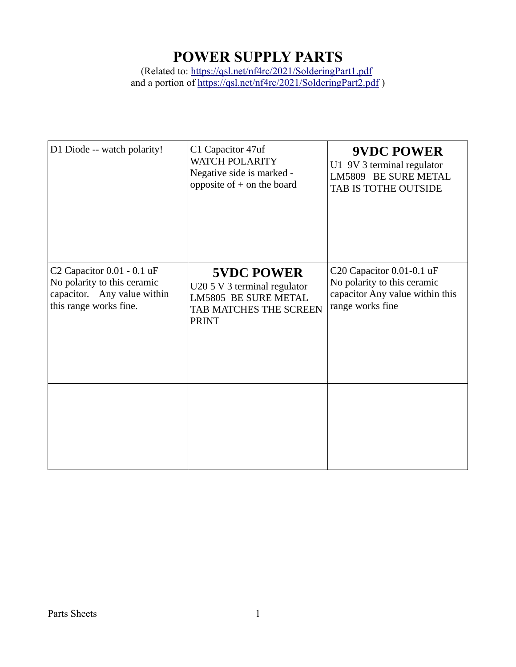#### **POWER SUPPLY PARTS**

(Related to:<https://qsl.net/nf4rc/2021/SolderingPart1.pdf> and a portion of https://qsl.net/nf4rc/2021/SolderingPart2.pdf)

| D1 Diode -- watch polarity!                                                                                        | C1 Capacitor 47uf<br><b>WATCH POLARITY</b><br>Negative side is marked -<br>opposite of $+$ on the board                    | <b>9VDC POWER</b><br>U1 9V 3 terminal regulator<br>LM5809 BE SURE METAL<br>TAB IS TOTHE OUTSIDE                 |
|--------------------------------------------------------------------------------------------------------------------|----------------------------------------------------------------------------------------------------------------------------|-----------------------------------------------------------------------------------------------------------------|
| C2 Capacitor 0.01 - 0.1 uF<br>No polarity to this ceramic<br>capacitor. Any value within<br>this range works fine. | <b>5VDC POWER</b><br>U20 5 V 3 terminal regulator<br><b>LM5805 BE SURE METAL</b><br>TAB MATCHES THE SCREEN<br><b>PRINT</b> | C20 Capacitor 0.01-0.1 uF<br>No polarity to this ceramic<br>capacitor Any value within this<br>range works fine |
|                                                                                                                    |                                                                                                                            |                                                                                                                 |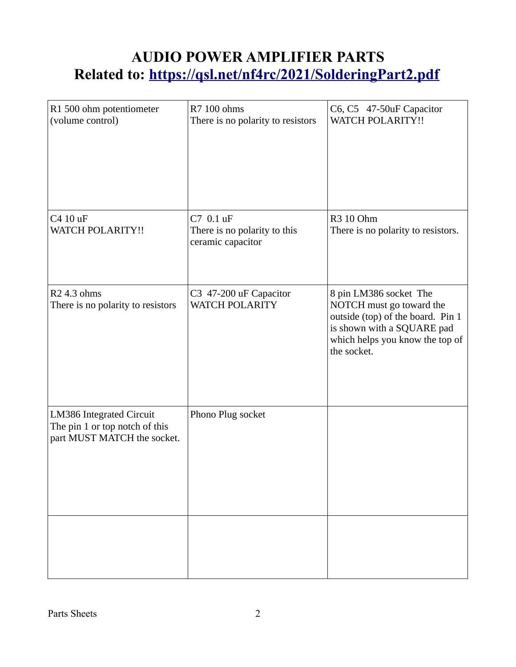## **AUDIO POWER AMPLIFIER PARTS Related to: <https://qsl.net/nf4rc/2021/SolderingPart2.pdf>**

| R1 500 ohm potentiometer<br>(volume control)                                              | R7 100 ohms<br>There is no polarity to resistors               | C6, C5 47-50uF Capacitor<br><b>WATCH POLARITY!!</b>                                                                                                                     |
|-------------------------------------------------------------------------------------------|----------------------------------------------------------------|-------------------------------------------------------------------------------------------------------------------------------------------------------------------------|
| C4 10 uF<br><b>WATCH POLARITY!!</b>                                                       | C7 0.1 uF<br>There is no polarity to this<br>ceramic capacitor | R3 10 Ohm<br>There is no polarity to resistors.                                                                                                                         |
| R <sub>2</sub> 4.3 ohms<br>There is no polarity to resistors                              | C3 47-200 uF Capacitor<br><b>WATCH POLARITY</b>                | 8 pin LM386 socket The<br>NOTCH must go toward the<br>outside (top) of the board. Pin 1<br>is shown with a SQUARE pad<br>which helps you know the top of<br>the socket. |
| LM386 Integrated Circuit<br>The pin 1 or top notch of this<br>part MUST MATCH the socket. | Phono Plug socket                                              |                                                                                                                                                                         |
|                                                                                           |                                                                |                                                                                                                                                                         |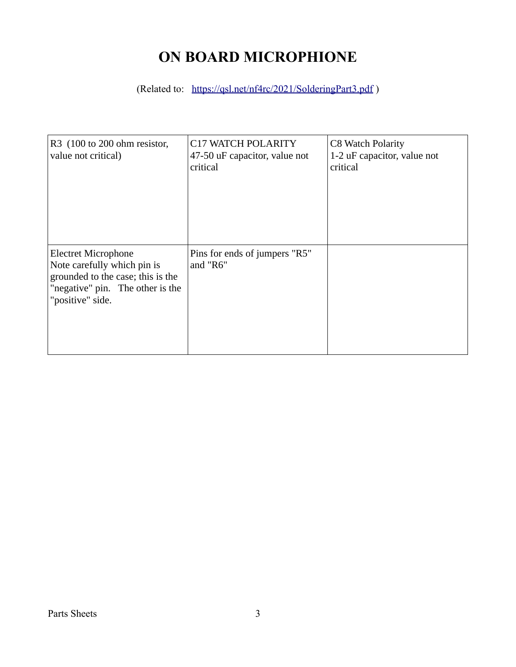## **ON BOARD MICROPHIONE**

(Related to: <https://qsl.net/nf4rc/2021/SolderingPart3.pdf>)

| R3 (100 to 200 ohm resistor,<br>value not critical)                                                                                                    | C17 WATCH POLARITY<br>47-50 uF capacitor, value not<br>critical | C8 Watch Polarity<br>1-2 uF capacitor, value not<br>critical |
|--------------------------------------------------------------------------------------------------------------------------------------------------------|-----------------------------------------------------------------|--------------------------------------------------------------|
| <b>Electret Microphone</b><br>Note carefully which pin is<br>grounded to the case; this is the<br>"negative" pin. The other is the<br>"positive" side. | Pins for ends of jumpers "R5"<br>and "R6"                       |                                                              |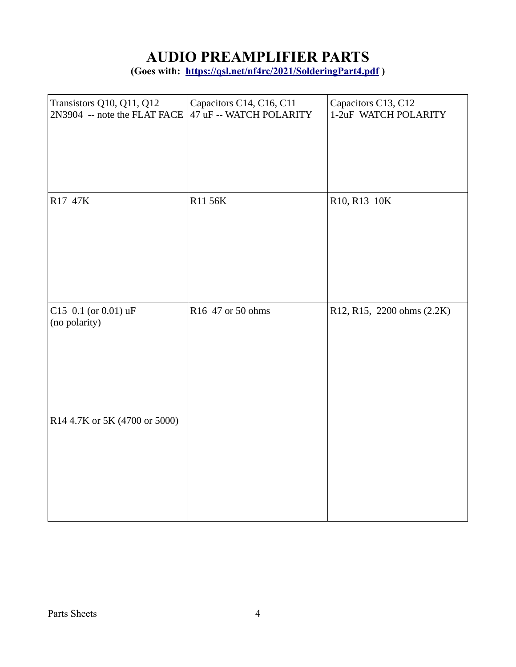# **AUDIO PREAMPLIFIER PARTS**

**(Goes with: <https://qsl.net/nf4rc/2021/SolderingPart4.pdf> )**

| Transistors Q10, Q11, Q12<br>2N3904 -- note the FLAT FACE | Capacitors C14, C16, C11<br>47 uF -- WATCH POLARITY | Capacitors C13, C12<br>1-2uF WATCH POLARITY |
|-----------------------------------------------------------|-----------------------------------------------------|---------------------------------------------|
| R17 47K                                                   | R11 56K                                             | R10, R13 10K                                |
| C15 0.1 (or 0.01) uF<br>(no polarity)                     | R16 47 or 50 ohms                                   | R12, R15, 2200 ohms (2.2K)                  |
| R14 4.7K or 5K (4700 or 5000)                             |                                                     |                                             |